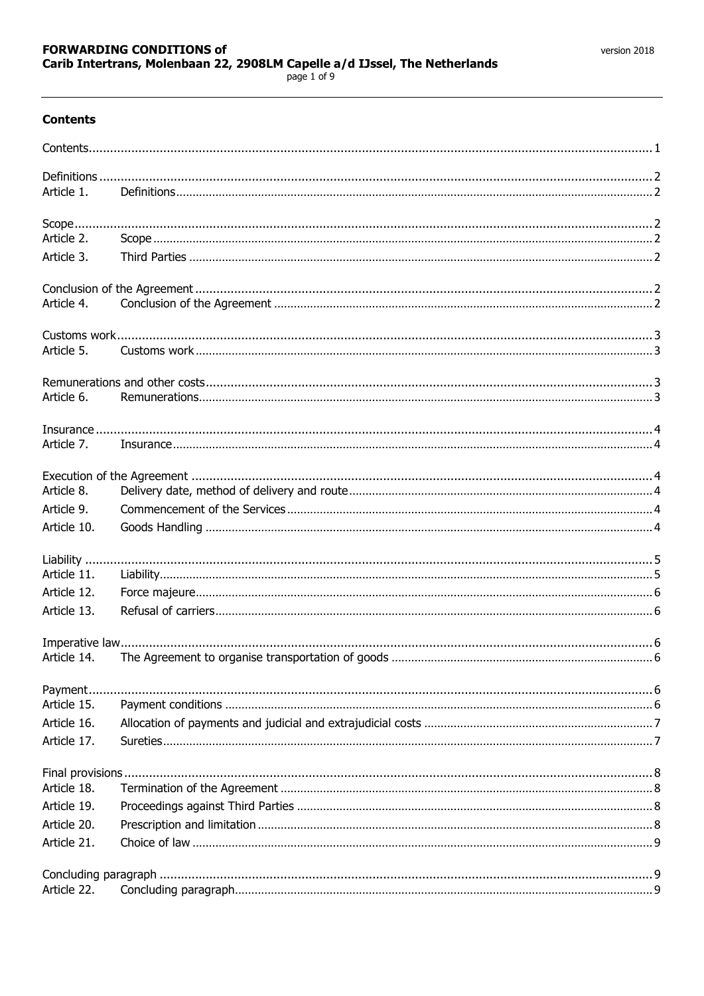# <span id="page-0-0"></span>**Contents**

| Article 1.  |  |
|-------------|--|
|             |  |
| Article 2.  |  |
| Article 3.  |  |
|             |  |
| Article 4.  |  |
|             |  |
| Article 5.  |  |
|             |  |
| Article 6.  |  |
|             |  |
| Article 7.  |  |
|             |  |
| Article 8.  |  |
| Article 9.  |  |
| Article 10. |  |
|             |  |
| Article 11. |  |
| Article 12. |  |
| Article 13. |  |
|             |  |
| Article 14. |  |
| Payment     |  |
| Article 15. |  |
| Article 16. |  |
| Article 17. |  |
|             |  |
| Article 18. |  |
| Article 19. |  |
| Article 20. |  |
| Article 21. |  |
|             |  |
| Article 22. |  |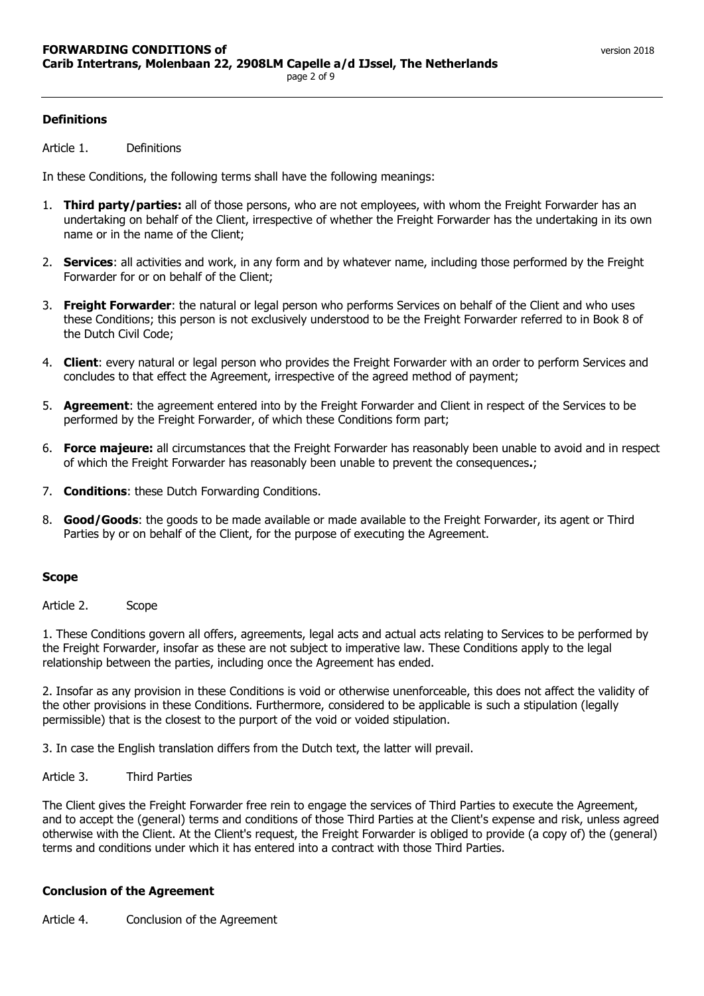<span id="page-1-1"></span><span id="page-1-0"></span>Article 1. Definitions

In these Conditions, the following terms shall have the following meanings:

- 1. **Third party/parties:** all of those persons, who are not employees, with whom the Freight Forwarder has an undertaking on behalf of the Client, irrespective of whether the Freight Forwarder has the undertaking in its own name or in the name of the Client;
- 2. **Services**: all activities and work, in any form and by whatever name, including those performed by the Freight Forwarder for or on behalf of the Client;
- 3. **Freight Forwarder**: the natural or legal person who performs Services on behalf of the Client and who uses these Conditions; this person is not exclusively understood to be the Freight Forwarder referred to in Book 8 of the Dutch Civil Code;
- 4. **Client**: every natural or legal person who provides the Freight Forwarder with an order to perform Services and concludes to that effect the Agreement, irrespective of the agreed method of payment;
- 5. **Agreement**: the agreement entered into by the Freight Forwarder and Client in respect of the Services to be performed by the Freight Forwarder, of which these Conditions form part;
- 6. **Force majeure:** all circumstances that the Freight Forwarder has reasonably been unable to avoid and in respect of which the Freight Forwarder has reasonably been unable to prevent the consequences**.**;
- 7. **Conditions**: these Dutch Forwarding Conditions.
- 8. **Good/Goods**: the goods to be made available or made available to the Freight Forwarder, its agent or Third Parties by or on behalf of the Client, for the purpose of executing the Agreement.

## <span id="page-1-2"></span>**Scope**

<span id="page-1-3"></span>Article 2. Scope

1. These Conditions govern all offers, agreements, legal acts and actual acts relating to Services to be performed by the Freight Forwarder, insofar as these are not subject to imperative law. These Conditions apply to the legal relationship between the parties, including once the Agreement has ended.

2. Insofar as any provision in these Conditions is void or otherwise unenforceable, this does not affect the validity of the other provisions in these Conditions. Furthermore, considered to be applicable is such a stipulation (legally permissible) that is the closest to the purport of the void or voided stipulation.

3. In case the English translation differs from the Dutch text, the latter will prevail.

<span id="page-1-4"></span>Article 3. Third Parties

The Client gives the Freight Forwarder free rein to engage the services of Third Parties to execute the Agreement, and to accept the (general) terms and conditions of those Third Parties at the Client's expense and risk, unless agreed otherwise with the Client. At the Client's request, the Freight Forwarder is obliged to provide (a copy of) the (general) terms and conditions under which it has entered into a contract with those Third Parties.

## <span id="page-1-5"></span>**Conclusion of the Agreement**

<span id="page-1-6"></span>Article 4. Conclusion of the Agreement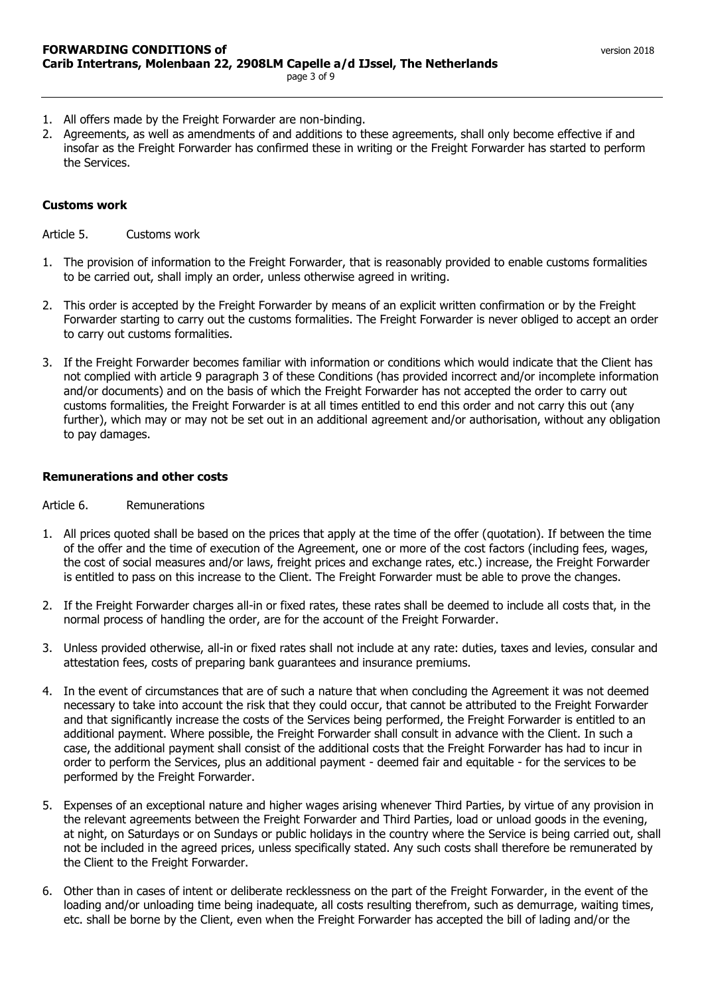- 1. All offers made by the Freight Forwarder are non-binding.
- 2. Agreements, as well as amendments of and additions to these agreements, shall only become effective if and insofar as the Freight Forwarder has confirmed these in writing or the Freight Forwarder has started to perform the Services.

# <span id="page-2-0"></span>**Customs work**

<span id="page-2-1"></span>Article 5. Customs work

- 1. The provision of information to the Freight Forwarder, that is reasonably provided to enable customs formalities to be carried out, shall imply an order, unless otherwise agreed in writing.
- 2. This order is accepted by the Freight Forwarder by means of an explicit written confirmation or by the Freight Forwarder starting to carry out the customs formalities. The Freight Forwarder is never obliged to accept an order to carry out customs formalities.
- 3. If the Freight Forwarder becomes familiar with information or conditions which would indicate that the Client has not complied with article 9 paragraph 3 of these Conditions (has provided incorrect and/or incomplete information and/or documents) and on the basis of which the Freight Forwarder has not accepted the order to carry out customs formalities, the Freight Forwarder is at all times entitled to end this order and not carry this out (any further), which may or may not be set out in an additional agreement and/or authorisation, without any obligation to pay damages.

# <span id="page-2-2"></span>**Remunerations and other costs**

## <span id="page-2-3"></span>Article 6. Remunerations

- 1. All prices quoted shall be based on the prices that apply at the time of the offer (quotation). If between the time of the offer and the time of execution of the Agreement, one or more of the cost factors (including fees, wages, the cost of social measures and/or laws, freight prices and exchange rates, etc.) increase, the Freight Forwarder is entitled to pass on this increase to the Client. The Freight Forwarder must be able to prove the changes.
- 2. If the Freight Forwarder charges all-in or fixed rates, these rates shall be deemed to include all costs that, in the normal process of handling the order, are for the account of the Freight Forwarder.
- 3. Unless provided otherwise, all-in or fixed rates shall not include at any rate: duties, taxes and levies, consular and attestation fees, costs of preparing bank guarantees and insurance premiums.
- 4. In the event of circumstances that are of such a nature that when concluding the Agreement it was not deemed necessary to take into account the risk that they could occur, that cannot be attributed to the Freight Forwarder and that significantly increase the costs of the Services being performed, the Freight Forwarder is entitled to an additional payment. Where possible, the Freight Forwarder shall consult in advance with the Client. In such a case, the additional payment shall consist of the additional costs that the Freight Forwarder has had to incur in order to perform the Services, plus an additional payment - deemed fair and equitable - for the services to be performed by the Freight Forwarder.
- 5. Expenses of an exceptional nature and higher wages arising whenever Third Parties, by virtue of any provision in the relevant agreements between the Freight Forwarder and Third Parties, load or unload goods in the evening, at night, on Saturdays or on Sundays or public holidays in the country where the Service is being carried out, shall not be included in the agreed prices, unless specifically stated. Any such costs shall therefore be remunerated by the Client to the Freight Forwarder.
- 6. Other than in cases of intent or deliberate recklessness on the part of the Freight Forwarder, in the event of the loading and/or unloading time being inadequate, all costs resulting therefrom, such as demurrage, waiting times, etc. shall be borne by the Client, even when the Freight Forwarder has accepted the bill of lading and/or the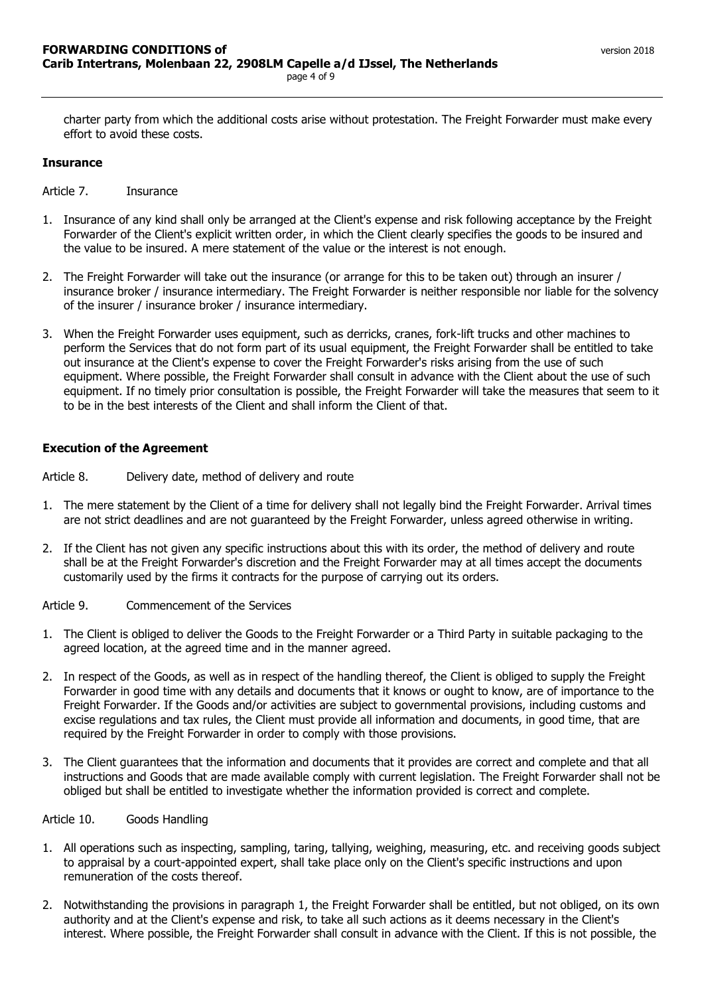charter party from which the additional costs arise without protestation. The Freight Forwarder must make every effort to avoid these costs.

#### <span id="page-3-0"></span>**Insurance**

<span id="page-3-1"></span>Article 7. Insurance

- 1. Insurance of any kind shall only be arranged at the Client's expense and risk following acceptance by the Freight Forwarder of the Client's explicit written order, in which the Client clearly specifies the goods to be insured and the value to be insured. A mere statement of the value or the interest is not enough.
- 2. The Freight Forwarder will take out the insurance (or arrange for this to be taken out) through an insurer / insurance broker / insurance intermediary. The Freight Forwarder is neither responsible nor liable for the solvency of the insurer / insurance broker / insurance intermediary.
- 3. When the Freight Forwarder uses equipment, such as derricks, cranes, fork-lift trucks and other machines to perform the Services that do not form part of its usual equipment, the Freight Forwarder shall be entitled to take out insurance at the Client's expense to cover the Freight Forwarder's risks arising from the use of such equipment. Where possible, the Freight Forwarder shall consult in advance with the Client about the use of such equipment. If no timely prior consultation is possible, the Freight Forwarder will take the measures that seem to it to be in the best interests of the Client and shall inform the Client of that.

#### <span id="page-3-2"></span>**Execution of the Agreement**

<span id="page-3-3"></span>Article 8. Delivery date, method of delivery and route

- 1. The mere statement by the Client of a time for delivery shall not legally bind the Freight Forwarder. Arrival times are not strict deadlines and are not guaranteed by the Freight Forwarder, unless agreed otherwise in writing.
- 2. If the Client has not given any specific instructions about this with its order, the method of delivery and route shall be at the Freight Forwarder's discretion and the Freight Forwarder may at all times accept the documents customarily used by the firms it contracts for the purpose of carrying out its orders.

<span id="page-3-4"></span>Article 9. Commencement of the Services

- 1. The Client is obliged to deliver the Goods to the Freight Forwarder or a Third Party in suitable packaging to the agreed location, at the agreed time and in the manner agreed.
- 2. In respect of the Goods, as well as in respect of the handling thereof, the Client is obliged to supply the Freight Forwarder in good time with any details and documents that it knows or ought to know, are of importance to the Freight Forwarder. If the Goods and/or activities are subject to governmental provisions, including customs and excise regulations and tax rules, the Client must provide all information and documents, in good time, that are required by the Freight Forwarder in order to comply with those provisions.
- 3. The Client guarantees that the information and documents that it provides are correct and complete and that all instructions and Goods that are made available comply with current legislation. The Freight Forwarder shall not be obliged but shall be entitled to investigate whether the information provided is correct and complete.

<span id="page-3-5"></span>Article 10. Goods Handling

- 1. All operations such as inspecting, sampling, taring, tallying, weighing, measuring, etc. and receiving goods subject to appraisal by a court-appointed expert, shall take place only on the Client's specific instructions and upon remuneration of the costs thereof.
- 2. Notwithstanding the provisions in paragraph 1, the Freight Forwarder shall be entitled, but not obliged, on its own authority and at the Client's expense and risk, to take all such actions as it deems necessary in the Client's interest. Where possible, the Freight Forwarder shall consult in advance with the Client. If this is not possible, the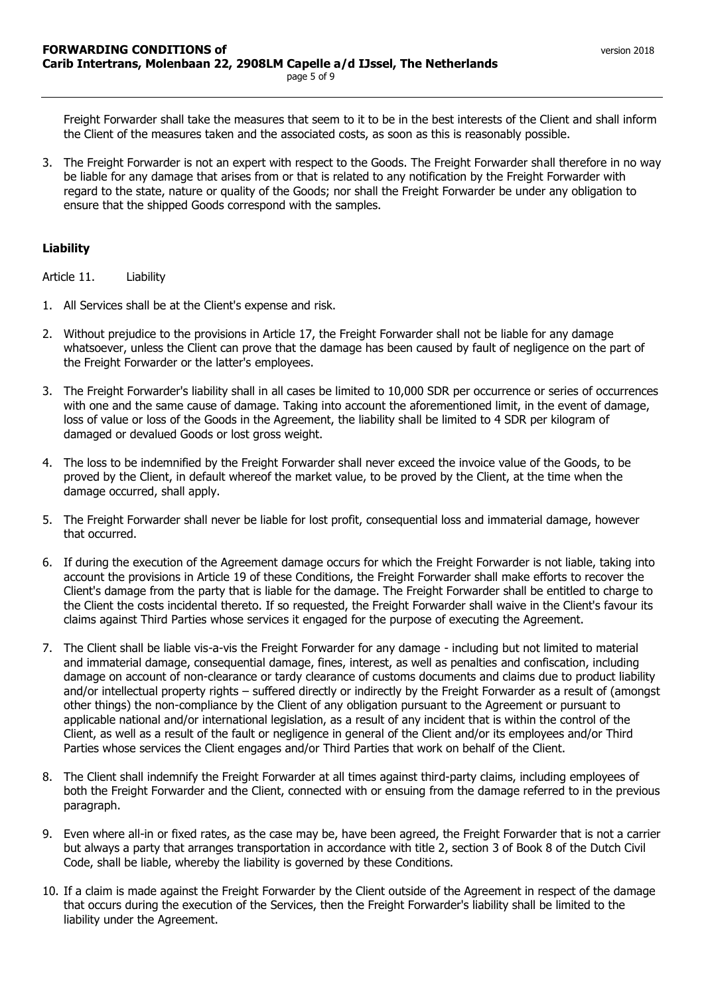Freight Forwarder shall take the measures that seem to it to be in the best interests of the Client and shall inform the Client of the measures taken and the associated costs, as soon as this is reasonably possible.

3. The Freight Forwarder is not an expert with respect to the Goods. The Freight Forwarder shall therefore in no way be liable for any damage that arises from or that is related to any notification by the Freight Forwarder with regard to the state, nature or quality of the Goods; nor shall the Freight Forwarder be under any obligation to ensure that the shipped Goods correspond with the samples.

# <span id="page-4-0"></span>**Liability**

<span id="page-4-1"></span>Article 11. Liability

- 1. All Services shall be at the Client's expense and risk.
- 2. Without prejudice to the provisions in Article 17, the Freight Forwarder shall not be liable for any damage whatsoever, unless the Client can prove that the damage has been caused by fault of negligence on the part of the Freight Forwarder or the latter's employees.
- 3. The Freight Forwarder's liability shall in all cases be limited to 10,000 SDR per occurrence or series of occurrences with one and the same cause of damage. Taking into account the aforementioned limit, in the event of damage, loss of value or loss of the Goods in the Agreement, the liability shall be limited to 4 SDR per kilogram of damaged or devalued Goods or lost gross weight.
- 4. The loss to be indemnified by the Freight Forwarder shall never exceed the invoice value of the Goods, to be proved by the Client, in default whereof the market value, to be proved by the Client, at the time when the damage occurred, shall apply.
- 5. The Freight Forwarder shall never be liable for lost profit, consequential loss and immaterial damage, however that occurred.
- 6. If during the execution of the Agreement damage occurs for which the Freight Forwarder is not liable, taking into account the provisions in Article 19 of these Conditions, the Freight Forwarder shall make efforts to recover the Client's damage from the party that is liable for the damage. The Freight Forwarder shall be entitled to charge to the Client the costs incidental thereto. If so requested, the Freight Forwarder shall waive in the Client's favour its claims against Third Parties whose services it engaged for the purpose of executing the Agreement.
- 7. The Client shall be liable vis-a-vis the Freight Forwarder for any damage including but not limited to material and immaterial damage, consequential damage, fines, interest, as well as penalties and confiscation, including damage on account of non-clearance or tardy clearance of customs documents and claims due to product liability and/or intellectual property rights – suffered directly or indirectly by the Freight Forwarder as a result of (amongst other things) the non-compliance by the Client of any obligation pursuant to the Agreement or pursuant to applicable national and/or international legislation, as a result of any incident that is within the control of the Client, as well as a result of the fault or negligence in general of the Client and/or its employees and/or Third Parties whose services the Client engages and/or Third Parties that work on behalf of the Client.
- 8. The Client shall indemnify the Freight Forwarder at all times against third-party claims, including employees of both the Freight Forwarder and the Client, connected with or ensuing from the damage referred to in the previous paragraph.
- 9. Even where all-in or fixed rates, as the case may be, have been agreed, the Freight Forwarder that is not a carrier but always a party that arranges transportation in accordance with title 2, section 3 of Book 8 of the Dutch Civil Code, shall be liable, whereby the liability is governed by these Conditions.
- 10. If a claim is made against the Freight Forwarder by the Client outside of the Agreement in respect of the damage that occurs during the execution of the Services, then the Freight Forwarder's liability shall be limited to the liability under the Agreement.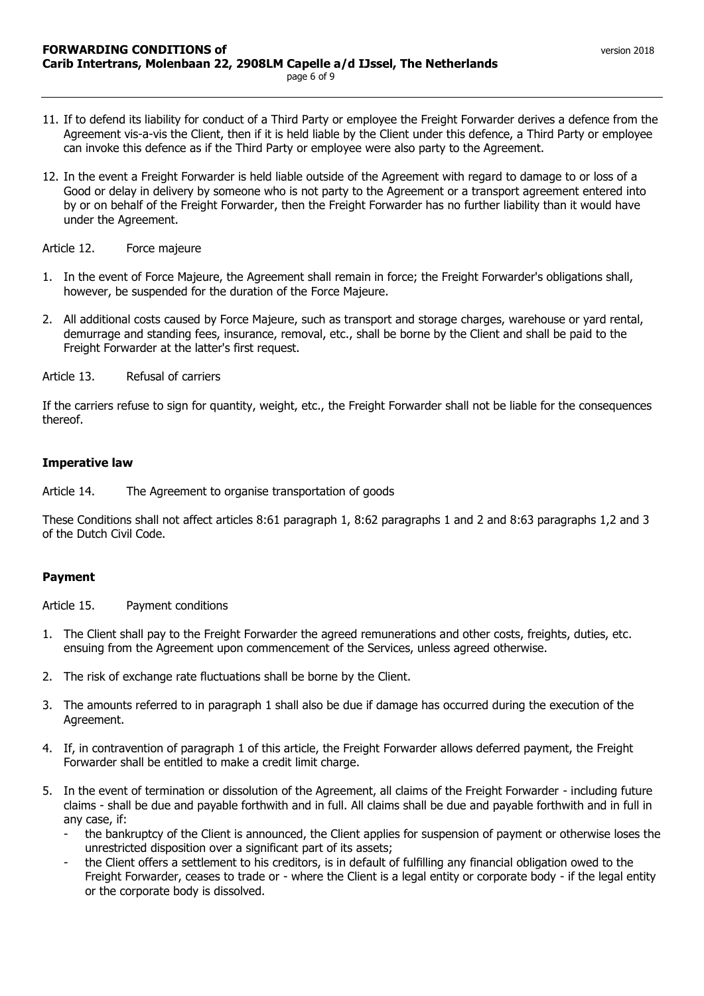- 11. If to defend its liability for conduct of a Third Party or employee the Freight Forwarder derives a defence from the Agreement vis-a-vis the Client, then if it is held liable by the Client under this defence, a Third Party or employee can invoke this defence as if the Third Party or employee were also party to the Agreement.
- 12. In the event a Freight Forwarder is held liable outside of the Agreement with regard to damage to or loss of a Good or delay in delivery by someone who is not party to the Agreement or a transport agreement entered into by or on behalf of the Freight Forwarder, then the Freight Forwarder has no further liability than it would have under the Agreement.

<span id="page-5-0"></span>Article 12. Force majeure

- 1. In the event of Force Majeure, the Agreement shall remain in force; the Freight Forwarder's obligations shall, however, be suspended for the duration of the Force Majeure.
- 2. All additional costs caused by Force Majeure, such as transport and storage charges, warehouse or yard rental, demurrage and standing fees, insurance, removal, etc., shall be borne by the Client and shall be paid to the Freight Forwarder at the latter's first request.

<span id="page-5-1"></span>Article 13. Refusal of carriers

If the carriers refuse to sign for quantity, weight, etc., the Freight Forwarder shall not be liable for the consequences thereof.

## <span id="page-5-2"></span>**Imperative law**

<span id="page-5-3"></span>Article 14. The Agreement to organise transportation of goods

These Conditions shall not affect articles 8:61 paragraph 1, 8:62 paragraphs 1 and 2 and 8:63 paragraphs 1,2 and 3 of the Dutch Civil Code.

## <span id="page-5-4"></span>**Payment**

<span id="page-5-5"></span>Article 15. Payment conditions

- 1. The Client shall pay to the Freight Forwarder the agreed remunerations and other costs, freights, duties, etc. ensuing from the Agreement upon commencement of the Services, unless agreed otherwise.
- 2. The risk of exchange rate fluctuations shall be borne by the Client.
- 3. The amounts referred to in paragraph 1 shall also be due if damage has occurred during the execution of the Agreement.
- 4. If, in contravention of paragraph 1 of this article, the Freight Forwarder allows deferred payment, the Freight Forwarder shall be entitled to make a credit limit charge.
- 5. In the event of termination or dissolution of the Agreement, all claims of the Freight Forwarder including future claims - shall be due and payable forthwith and in full. All claims shall be due and payable forthwith and in full in any case, if:
	- the bankruptcy of the Client is announced, the Client applies for suspension of payment or otherwise loses the unrestricted disposition over a significant part of its assets;
	- the Client offers a settlement to his creditors, is in default of fulfilling any financial obligation owed to the Freight Forwarder, ceases to trade or - where the Client is a legal entity or corporate body - if the legal entity or the corporate body is dissolved.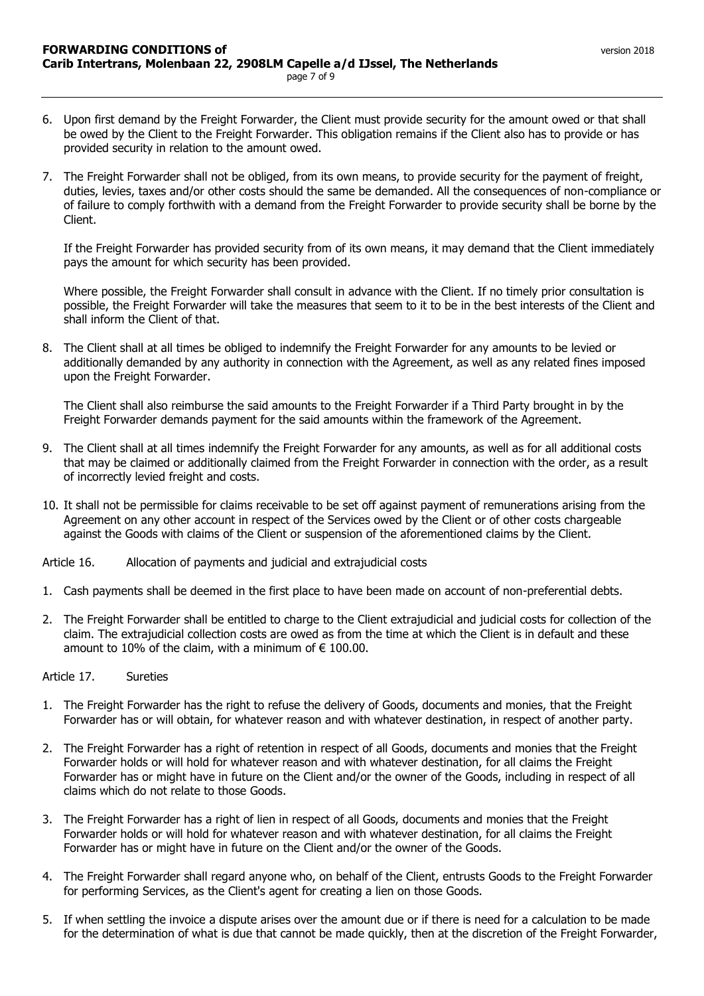- 6. Upon first demand by the Freight Forwarder, the Client must provide security for the amount owed or that shall be owed by the Client to the Freight Forwarder. This obligation remains if the Client also has to provide or has provided security in relation to the amount owed.
- 7. The Freight Forwarder shall not be obliged, from its own means, to provide security for the payment of freight, duties, levies, taxes and/or other costs should the same be demanded. All the consequences of non-compliance or of failure to comply forthwith with a demand from the Freight Forwarder to provide security shall be borne by the Client.

If the Freight Forwarder has provided security from of its own means, it may demand that the Client immediately pays the amount for which security has been provided.

Where possible, the Freight Forwarder shall consult in advance with the Client. If no timely prior consultation is possible, the Freight Forwarder will take the measures that seem to it to be in the best interests of the Client and shall inform the Client of that.

8. The Client shall at all times be obliged to indemnify the Freight Forwarder for any amounts to be levied or additionally demanded by any authority in connection with the Agreement, as well as any related fines imposed upon the Freight Forwarder.

The Client shall also reimburse the said amounts to the Freight Forwarder if a Third Party brought in by the Freight Forwarder demands payment for the said amounts within the framework of the Agreement.

- 9. The Client shall at all times indemnify the Freight Forwarder for any amounts, as well as for all additional costs that may be claimed or additionally claimed from the Freight Forwarder in connection with the order, as a result of incorrectly levied freight and costs.
- 10. It shall not be permissible for claims receivable to be set off against payment of remunerations arising from the Agreement on any other account in respect of the Services owed by the Client or of other costs chargeable against the Goods with claims of the Client or suspension of the aforementioned claims by the Client.

<span id="page-6-0"></span>Article 16. Allocation of payments and judicial and extrajudicial costs

- 1. Cash payments shall be deemed in the first place to have been made on account of non-preferential debts.
- 2. The Freight Forwarder shall be entitled to charge to the Client extrajudicial and judicial costs for collection of the claim. The extrajudicial collection costs are owed as from the time at which the Client is in default and these amount to 10% of the claim, with a minimum of  $\epsilon$  100.00.

<span id="page-6-1"></span>Article 17. Sureties

- 1. The Freight Forwarder has the right to refuse the delivery of Goods, documents and monies, that the Freight Forwarder has or will obtain, for whatever reason and with whatever destination, in respect of another party.
- 2. The Freight Forwarder has a right of retention in respect of all Goods, documents and monies that the Freight Forwarder holds or will hold for whatever reason and with whatever destination, for all claims the Freight Forwarder has or might have in future on the Client and/or the owner of the Goods, including in respect of all claims which do not relate to those Goods.
- 3. The Freight Forwarder has a right of lien in respect of all Goods, documents and monies that the Freight Forwarder holds or will hold for whatever reason and with whatever destination, for all claims the Freight Forwarder has or might have in future on the Client and/or the owner of the Goods.
- 4. The Freight Forwarder shall regard anyone who, on behalf of the Client, entrusts Goods to the Freight Forwarder for performing Services, as the Client's agent for creating a lien on those Goods.
- 5. If when settling the invoice a dispute arises over the amount due or if there is need for a calculation to be made for the determination of what is due that cannot be made quickly, then at the discretion of the Freight Forwarder,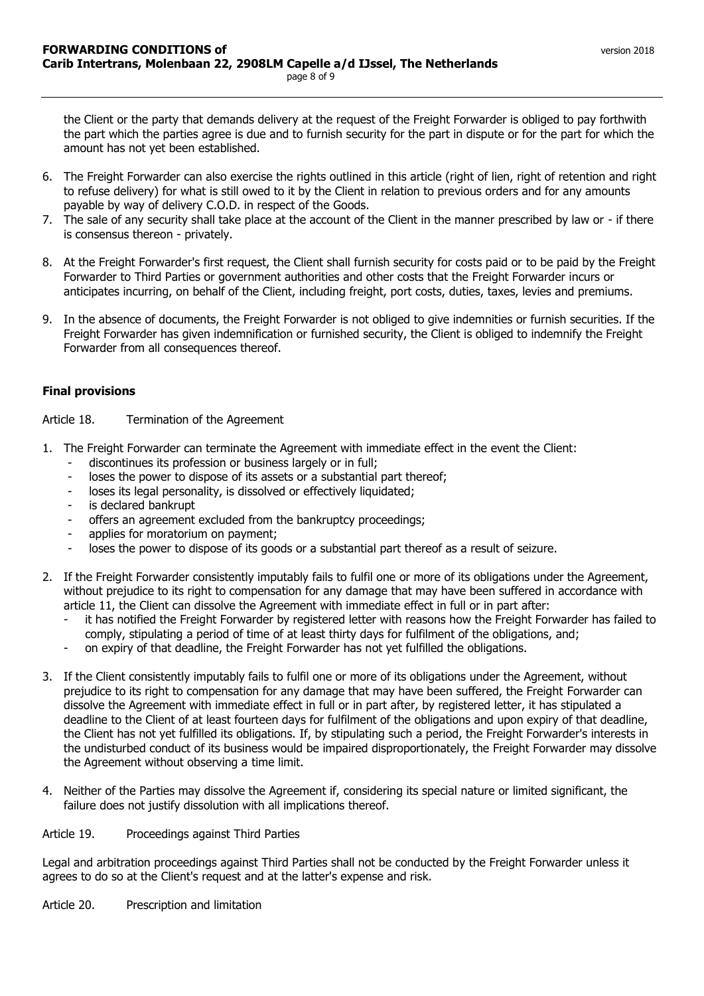the Client or the party that demands delivery at the request of the Freight Forwarder is obliged to pay forthwith the part which the parties agree is due and to furnish security for the part in dispute or for the part for which the amount has not yet been established.

- 6. The Freight Forwarder can also exercise the rights outlined in this article (right of lien, right of retention and right to refuse delivery) for what is still owed to it by the Client in relation to previous orders and for any amounts payable by way of delivery C.O.D. in respect of the Goods.
- 7. The sale of any security shall take place at the account of the Client in the manner prescribed by law or if there is consensus thereon - privately.
- 8. At the Freight Forwarder's first request, the Client shall furnish security for costs paid or to be paid by the Freight Forwarder to Third Parties or government authorities and other costs that the Freight Forwarder incurs or anticipates incurring, on behalf of the Client, including freight, port costs, duties, taxes, levies and premiums.
- 9. In the absence of documents, the Freight Forwarder is not obliged to give indemnities or furnish securities. If the Freight Forwarder has given indemnification or furnished security, the Client is obliged to indemnify the Freight Forwarder from all consequences thereof.

## <span id="page-7-0"></span>**Final provisions**

<span id="page-7-1"></span>Article 18. Termination of the Agreement

- 1. The Freight Forwarder can terminate the Agreement with immediate effect in the event the Client:
	- discontinues its profession or business largely or in full;
	- loses the power to dispose of its assets or a substantial part thereof;
	- loses its legal personality, is dissolved or effectively liquidated;
	- is declared bankrupt
	- offers an agreement excluded from the bankruptcy proceedings;
	- applies for moratorium on payment;
	- loses the power to dispose of its goods or a substantial part thereof as a result of seizure.
- 2. If the Freight Forwarder consistently imputably fails to fulfil one or more of its obligations under the Agreement, without prejudice to its right to compensation for any damage that may have been suffered in accordance with article 11, the Client can dissolve the Agreement with immediate effect in full or in part after:
	- it has notified the Freight Forwarder by registered letter with reasons how the Freight Forwarder has failed to comply, stipulating a period of time of at least thirty days for fulfilment of the obligations, and;
	- on expiry of that deadline, the Freight Forwarder has not yet fulfilled the obligations.
- 3. If the Client consistently imputably fails to fulfil one or more of its obligations under the Agreement, without prejudice to its right to compensation for any damage that may have been suffered, the Freight Forwarder can dissolve the Agreement with immediate effect in full or in part after, by registered letter, it has stipulated a deadline to the Client of at least fourteen days for fulfilment of the obligations and upon expiry of that deadline, the Client has not yet fulfilled its obligations. If, by stipulating such a period, the Freight Forwarder's interests in the undisturbed conduct of its business would be impaired disproportionately, the Freight Forwarder may dissolve the Agreement without observing a time limit.
- 4. Neither of the Parties may dissolve the Agreement if, considering its special nature or limited significant, the failure does not justify dissolution with all implications thereof.

# <span id="page-7-2"></span>Article 19. Proceedings against Third Parties

Legal and arbitration proceedings against Third Parties shall not be conducted by the Freight Forwarder unless it agrees to do so at the Client's request and at the latter's expense and risk.

<span id="page-7-3"></span>Article 20. Prescription and limitation